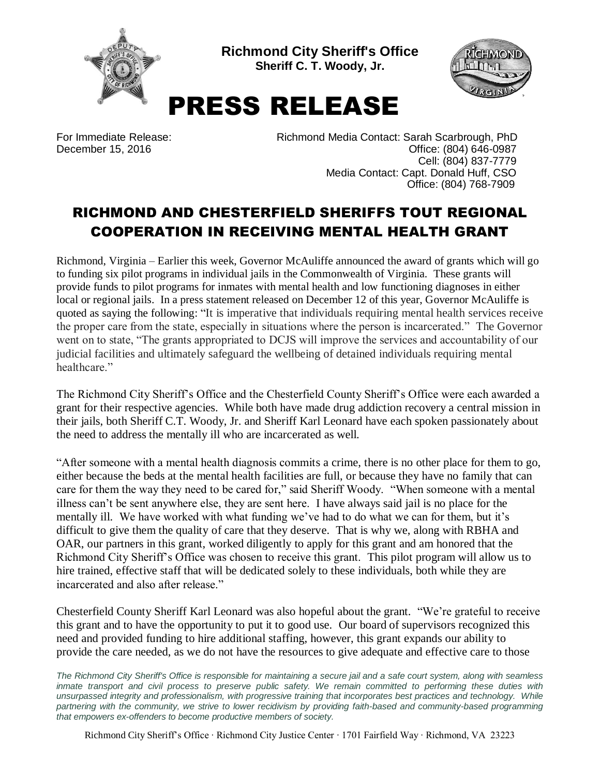

**Richmond City Sheriff's Office Sheriff C. T. Woody, Jr.**



## PRESS RELEASE

For Immediate Release: Richmond Media Contact: Sarah Scarbrough, PhD December 15, 2016 **December 15, 2016 Office: (804) 646-0987** Cell: (804) 837-7779 Media Contact: Capt. Donald Huff, CSO Office: (804) 768-7909

## RICHMOND AND CHESTERFIELD SHERIFFS TOUT REGIONAL COOPERATION IN RECEIVING MENTAL HEALTH GRANT

Richmond, Virginia – Earlier this week, Governor McAuliffe announced the award of grants which will go to funding six pilot programs in individual jails in the Commonwealth of Virginia. These grants will provide funds to pilot programs for inmates with mental health and low functioning diagnoses in either local or regional jails. In a press statement released on December 12 of this year, Governor McAuliffe is quoted as saying the following: "It is imperative that individuals requiring mental health services receive the proper care from the state, especially in situations where the person is incarcerated." The Governor went on to state, "The grants appropriated to DCJS will improve the services and accountability of our judicial facilities and ultimately safeguard the wellbeing of detained individuals requiring mental healthcare"

The Richmond City Sheriff's Office and the Chesterfield County Sheriff's Office were each awarded a grant for their respective agencies. While both have made drug addiction recovery a central mission in their jails, both Sheriff C.T. Woody, Jr. and Sheriff Karl Leonard have each spoken passionately about the need to address the mentally ill who are incarcerated as well.

"After someone with a mental health diagnosis commits a crime, there is no other place for them to go, either because the beds at the mental health facilities are full, or because they have no family that can care for them the way they need to be cared for," said Sheriff Woody. "When someone with a mental illness can't be sent anywhere else, they are sent here. I have always said jail is no place for the mentally ill. We have worked with what funding we've had to do what we can for them, but it's difficult to give them the quality of care that they deserve. That is why we, along with RBHA and OAR, our partners in this grant, worked diligently to apply for this grant and am honored that the Richmond City Sheriff's Office was chosen to receive this grant. This pilot program will allow us to hire trained, effective staff that will be dedicated solely to these individuals, both while they are incarcerated and also after release."

Chesterfield County Sheriff Karl Leonard was also hopeful about the grant. "We're grateful to receive this grant and to have the opportunity to put it to good use. Our board of supervisors recognized this need and provided funding to hire additional staffing, however, this grant expands our ability to provide the care needed, as we do not have the resources to give adequate and effective care to those

*The Richmond City Sheriff's Office is responsible for maintaining a secure jail and a safe court system, along with seamless*  inmate transport and civil process to preserve public safety. We remain committed to performing these duties with *unsurpassed integrity and professionalism, with progressive training that incorporates best practices and technology. While partnering with the community, we strive to lower recidivism by providing faith-based and community-based programming that empowers ex-offenders to become productive members of society.*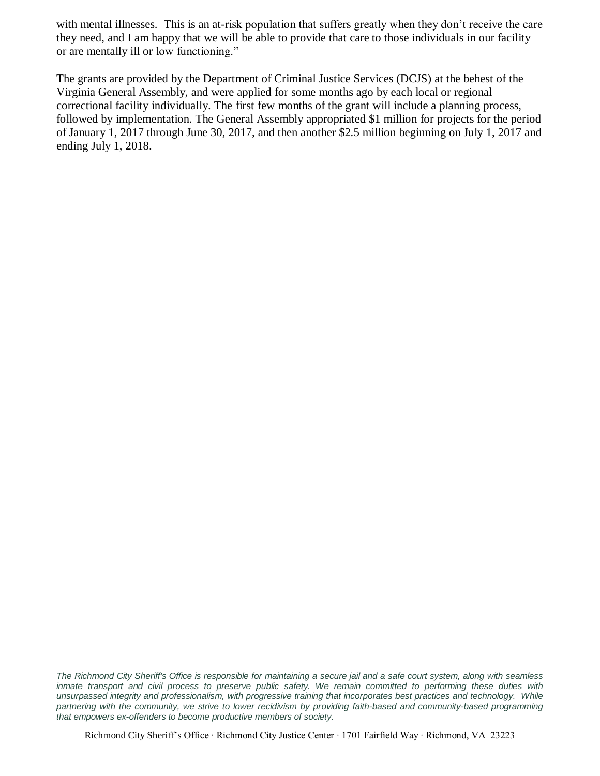with mental illnesses. This is an at-risk population that suffers greatly when they don't receive the care they need, and I am happy that we will be able to provide that care to those individuals in our facility or are mentally ill or low functioning."

The grants are provided by the Department of Criminal Justice Services (DCJS) at the behest of the Virginia General Assembly, and were applied for some months ago by each local or regional correctional facility individually. The first few months of the grant will include a planning process, followed by implementation. The General Assembly appropriated \$1 million for projects for the period of January 1, 2017 through June 30, 2017, and then another \$2.5 million beginning on July 1, 2017 and ending July 1, 2018.

*The Richmond City Sheriff's Office is responsible for maintaining a secure jail and a safe court system, along with seamless*  inmate transport and civil process to preserve public safety. We remain committed to performing these duties with *unsurpassed integrity and professionalism, with progressive training that incorporates best practices and technology. While partnering with the community, we strive to lower recidivism by providing faith-based and community-based programming that empowers ex-offenders to become productive members of society.*